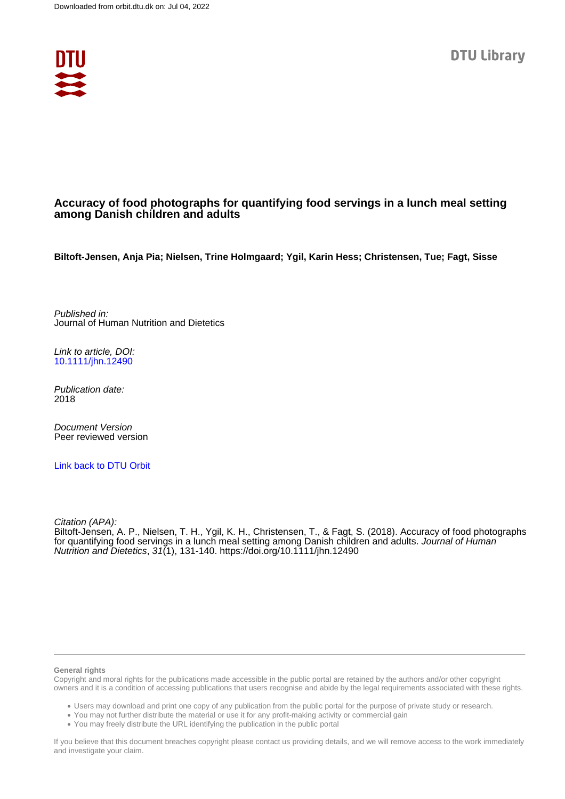

# **Accuracy of food photographs for quantifying food servings in a lunch meal setting among Danish children and adults**

**Biltoft-Jensen, Anja Pia; Nielsen, Trine Holmgaard; Ygil, Karin Hess; Christensen, Tue; Fagt, Sisse**

Published in: Journal of Human Nutrition and Dietetics

Link to article, DOI: [10.1111/jhn.12490](https://doi.org/10.1111/jhn.12490)

Publication date: 2018

Document Version Peer reviewed version

[Link back to DTU Orbit](https://orbit.dtu.dk/en/publications/83435a4e-605f-4866-b746-f774a49bd89a)

Citation (APA):

Biltoft-Jensen, A. P., Nielsen, T. H., Ygil, K. H., Christensen, T., & Fagt, S. (2018). Accuracy of food photographs for quantifying food servings in a lunch meal setting among Danish children and adults. Journal of Human Nutrition and Dietetics, 31(1), 131-140. <https://doi.org/10.1111/jhn.12490>

#### **General rights**

Copyright and moral rights for the publications made accessible in the public portal are retained by the authors and/or other copyright owners and it is a condition of accessing publications that users recognise and abide by the legal requirements associated with these rights.

Users may download and print one copy of any publication from the public portal for the purpose of private study or research.

- You may not further distribute the material or use it for any profit-making activity or commercial gain
- You may freely distribute the URL identifying the publication in the public portal

If you believe that this document breaches copyright please contact us providing details, and we will remove access to the work immediately and investigate your claim.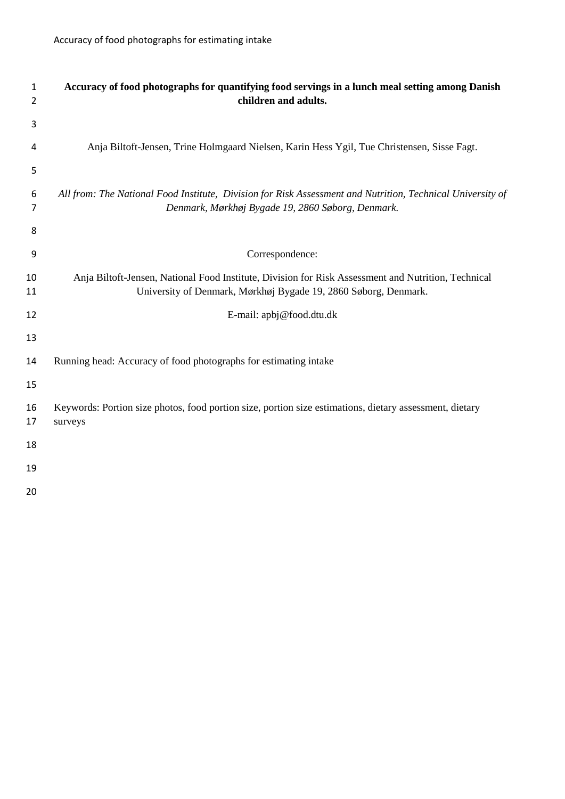| 1<br>2   | Accuracy of food photographs for quantifying food servings in a lunch meal setting among Danish<br>children and adults.                                                |
|----------|------------------------------------------------------------------------------------------------------------------------------------------------------------------------|
| 3        |                                                                                                                                                                        |
| 4        | Anja Biltoft-Jensen, Trine Holmgaard Nielsen, Karin Hess Ygil, Tue Christensen, Sisse Fagt.                                                                            |
| 5        |                                                                                                                                                                        |
| 6<br>7   | All from: The National Food Institute, Division for Risk Assessment and Nutrition, Technical University of<br>Denmark, Mørkhøj Bygade 19, 2860 Søborg, Denmark.        |
| 8        |                                                                                                                                                                        |
| 9        | Correspondence:                                                                                                                                                        |
| 10<br>11 | Anja Biltoft-Jensen, National Food Institute, Division for Risk Assessment and Nutrition, Technical<br>University of Denmark, Mørkhøj Bygade 19, 2860 Søborg, Denmark. |
| 12       | E-mail: apbj@food.dtu.dk                                                                                                                                               |
| 13       |                                                                                                                                                                        |
| 14       | Running head: Accuracy of food photographs for estimating intake                                                                                                       |
| 15       |                                                                                                                                                                        |
| 16<br>17 | Keywords: Portion size photos, food portion size, portion size estimations, dietary assessment, dietary<br>surveys                                                     |
| 18       |                                                                                                                                                                        |
| 19       |                                                                                                                                                                        |
| 20       |                                                                                                                                                                        |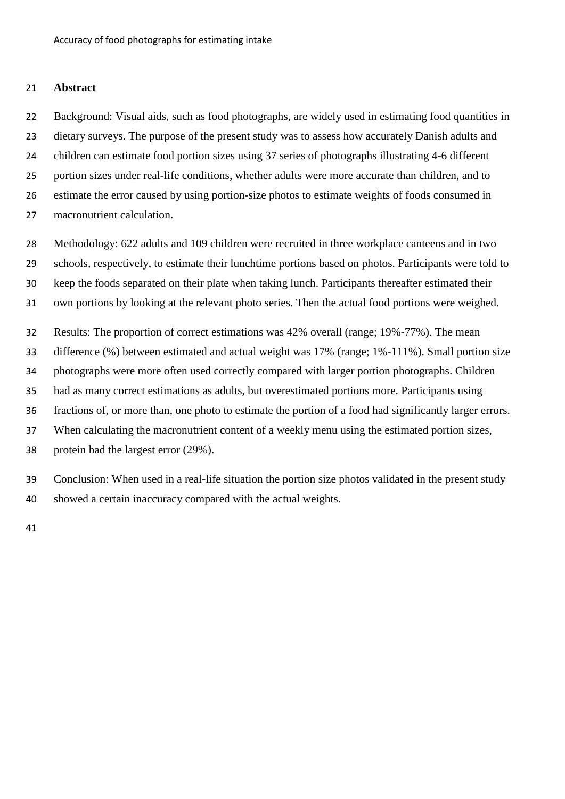# **Abstract**

 Background: Visual aids, such as food photographs, are widely used in estimating food quantities in dietary surveys. The purpose of the present study was to assess how accurately Danish adults and children can estimate food portion sizes using 37 series of photographs illustrating 4-6 different portion sizes under real-life conditions, whether adults were more accurate than children, and to estimate the error caused by using portion-size photos to estimate weights of foods consumed in macronutrient calculation.

 Methodology: 622 adults and 109 children were recruited in three workplace canteens and in two schools, respectively, to estimate their lunchtime portions based on photos. Participants were told to keep the foods separated on their plate when taking lunch. Participants thereafter estimated their own portions by looking at the relevant photo series. Then the actual food portions were weighed.

Results: The proportion of correct estimations was 42% overall (range; 19%-77%). The mean

difference (%) between estimated and actual weight was 17% (range; 1%-111%). Small portion size

photographs were more often used correctly compared with larger portion photographs. Children

had as many correct estimations as adults, but overestimated portions more. Participants using

fractions of, or more than, one photo to estimate the portion of a food had significantly larger errors.

When calculating the macronutrient content of a weekly menu using the estimated portion sizes,

protein had the largest error (29%).

 Conclusion: When used in a real-life situation the portion size photos validated in the present study showed a certain inaccuracy compared with the actual weights.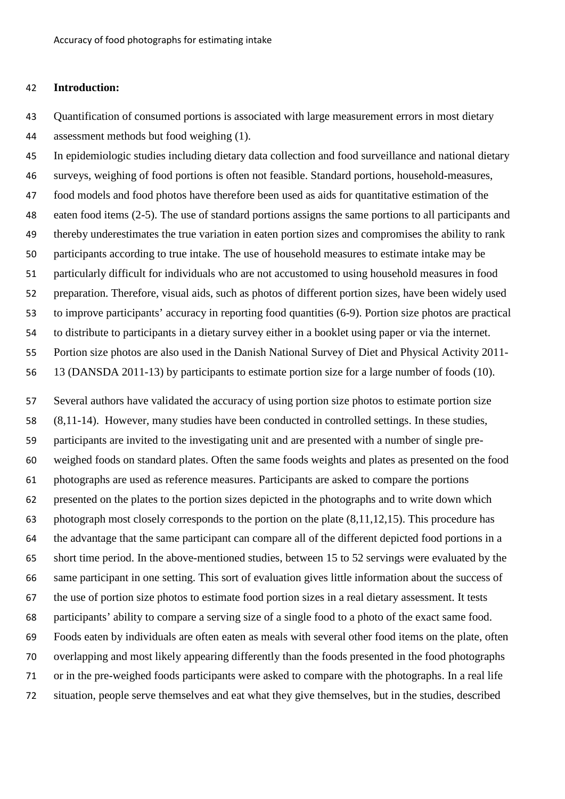# **Introduction:**

 Quantification of consumed portions is associated with large measurement errors in most dietary assessment methods but food weighing (1).

 In epidemiologic studies including dietary data collection and food surveillance and national dietary surveys, weighing of food portions is often not feasible. Standard portions, household-measures, food models and food photos have therefore been used as aids for quantitative estimation of the eaten food items (2-5). The use of standard portions assigns the same portions to all participants and thereby underestimates the true variation in eaten portion sizes and compromises the ability to rank participants according to true intake. The use of household measures to estimate intake may be particularly difficult for individuals who are not accustomed to using household measures in food preparation. Therefore, visual aids, such as photos of different portion sizes, have been widely used to improve participants' accuracy in reporting food quantities (6-9). Portion size photos are practical to distribute to participants in a dietary survey either in a booklet using paper or via the internet. Portion size photos are also used in the Danish National Survey of Diet and Physical Activity 2011- 13 (DANSDA 2011-13) by participants to estimate portion size for a large number of foods (10).

 Several authors have validated the accuracy of using portion size photos to estimate portion size (8,11-14). However, many studies have been conducted in controlled settings. In these studies, participants are invited to the investigating unit and are presented with a number of single pre- weighed foods on standard plates. Often the same foods weights and plates as presented on the food photographs are used as reference measures. Participants are asked to compare the portions presented on the plates to the portion sizes depicted in the photographs and to write down which photograph most closely corresponds to the portion on the plate (8,11,12,15). This procedure has the advantage that the same participant can compare all of the different depicted food portions in a short time period. In the above-mentioned studies, between 15 to 52 servings were evaluated by the same participant in one setting. This sort of evaluation gives little information about the success of the use of portion size photos to estimate food portion sizes in a real dietary assessment. It tests participants' ability to compare a serving size of a single food to a photo of the exact same food. Foods eaten by individuals are often eaten as meals with several other food items on the plate, often overlapping and most likely appearing differently than the foods presented in the food photographs or in the pre-weighed foods participants were asked to compare with the photographs. In a real life situation, people serve themselves and eat what they give themselves, but in the studies, described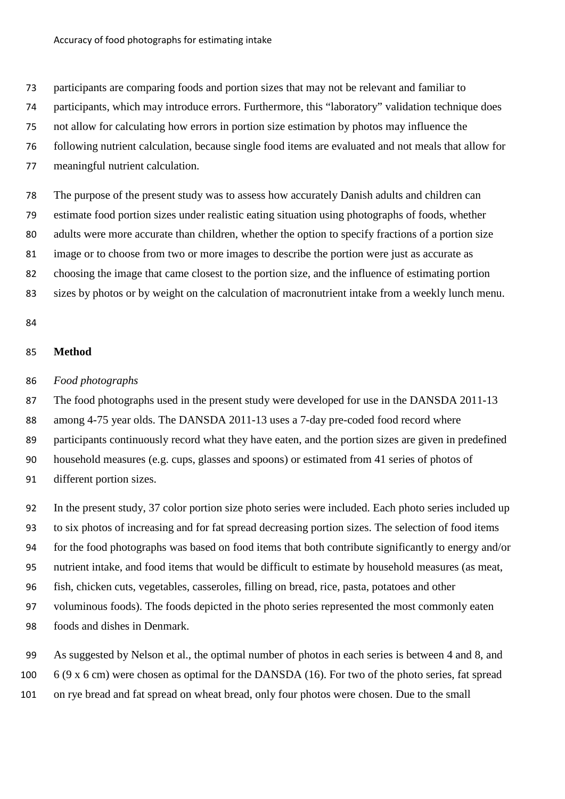participants are comparing foods and portion sizes that may not be relevant and familiar to

participants, which may introduce errors. Furthermore, this "laboratory" validation technique does

not allow for calculating how errors in portion size estimation by photos may influence the

following nutrient calculation, because single food items are evaluated and not meals that allow for

meaningful nutrient calculation.

 The purpose of the present study was to assess how accurately Danish adults and children can estimate food portion sizes under realistic eating situation using photographs of foods, whether adults were more accurate than children, whether the option to specify fractions of a portion size image or to choose from two or more images to describe the portion were just as accurate as choosing the image that came closest to the portion size, and the influence of estimating portion sizes by photos or by weight on the calculation of macronutrient intake from a weekly lunch menu.

### **Method**

# *Food photographs*

87 The food photographs used in the present study were developed for use in the DANSDA 2011-13 among 4-75 year olds. The DANSDA 2011-13 uses a 7-day pre-coded food record where participants continuously record what they have eaten, and the portion sizes are given in predefined household measures (e.g. cups, glasses and spoons) or estimated from 41 series of photos of different portion sizes.

 In the present study, 37 color portion size photo series were included. Each photo series included up to six photos of increasing and for fat spread decreasing portion sizes. The selection of food items for the food photographs was based on food items that both contribute significantly to energy and/or nutrient intake, and food items that would be difficult to estimate by household measures (as meat, fish, chicken cuts, vegetables, casseroles, filling on bread, rice, pasta, potatoes and other voluminous foods). The foods depicted in the photo series represented the most commonly eaten foods and dishes in Denmark.

 As suggested by Nelson et al., the optimal number of photos in each series is between 4 and 8, and 6 (9 x 6 cm) were chosen as optimal for the DANSDA (16). For two of the photo series, fat spread on rye bread and fat spread on wheat bread, only four photos were chosen. Due to the small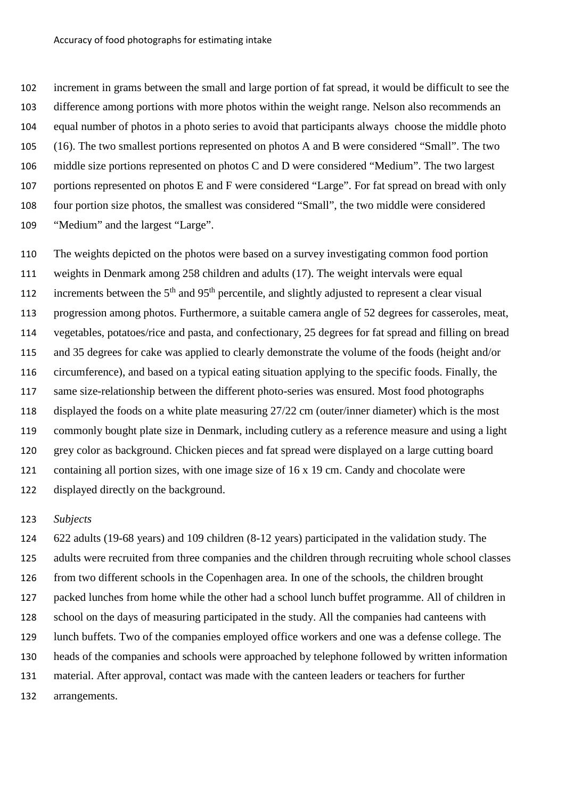increment in grams between the small and large portion of fat spread, it would be difficult to see the difference among portions with more photos within the weight range. Nelson also recommends an equal number of photos in a photo series to avoid that participants always choose the middle photo (16). The two smallest portions represented on photos A and B were considered "Small". The two middle size portions represented on photos C and D were considered "Medium". The two largest portions represented on photos E and F were considered "Large". For fat spread on bread with only four portion size photos, the smallest was considered "Small", the two middle were considered "Medium" and the largest "Large".

 The weights depicted on the photos were based on a survey investigating common food portion weights in Denmark among 258 children and adults (17). The weight intervals were equal increments between the  $5<sup>th</sup>$  and  $95<sup>th</sup>$  percentile, and slightly adjusted to represent a clear visual progression among photos. Furthermore, a suitable camera angle of 52 degrees for casseroles, meat, vegetables, potatoes/rice and pasta, and confectionary, 25 degrees for fat spread and filling on bread and 35 degrees for cake was applied to clearly demonstrate the volume of the foods (height and/or circumference), and based on a typical eating situation applying to the specific foods. Finally, the same size-relationship between the different photo-series was ensured. Most food photographs displayed the foods on a white plate measuring 27/22 cm (outer/inner diameter) which is the most commonly bought plate size in Denmark, including cutlery as a reference measure and using a light grey color as background. Chicken pieces and fat spread were displayed on a large cutting board 121 containing all portion sizes, with one image size of 16 x 19 cm. Candy and chocolate were displayed directly on the background.

# *Subjects*

 622 adults (19-68 years) and 109 children (8-12 years) participated in the validation study. The adults were recruited from three companies and the children through recruiting whole school classes from two different schools in the Copenhagen area. In one of the schools, the children brought packed lunches from home while the other had a school lunch buffet programme. All of children in school on the days of measuring participated in the study. All the companies had canteens with lunch buffets. Two of the companies employed office workers and one was a defense college. The heads of the companies and schools were approached by telephone followed by written information material. After approval, contact was made with the canteen leaders or teachers for further arrangements.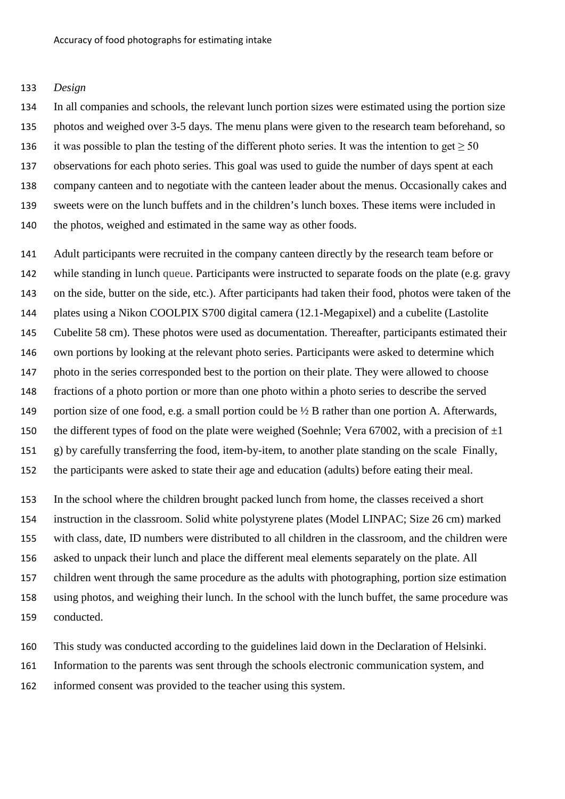### *Design*

 In all companies and schools, the relevant lunch portion sizes were estimated using the portion size photos and weighed over 3-5 days. The menu plans were given to the research team beforehand, so 136 it was possible to plan the testing of the different photo series. It was the intention to get  $\geq$  50 observations for each photo series. This goal was used to guide the number of days spent at each company canteen and to negotiate with the canteen leader about the menus. Occasionally cakes and sweets were on the lunch buffets and in the children's lunch boxes. These items were included in 140 the photos, weighed and estimated in the same way as other foods.

 Adult participants were recruited in the company canteen directly by the research team before or while standing in lunch queue. Participants were instructed to separate foods on the plate (e.g. gravy on the side, butter on the side, etc.). After participants had taken their food, photos were taken of the plates using a Nikon COOLPIX S700 digital camera (12.1-Megapixel) and a cubelite (Lastolite Cubelite 58 cm). These photos were used as documentation. Thereafter, participants estimated their own portions by looking at the relevant photo series. Participants were asked to determine which photo in the series corresponded best to the portion on their plate. They were allowed to choose fractions of a photo portion or more than one photo within a photo series to describe the served portion size of one food, e.g. a small portion could be ½ B rather than one portion A. Afterwards, 150 the different types of food on the plate were weighed (Soehnle; Vera 67002, with a precision of  $\pm 1$  g) by carefully transferring the food, item-by-item, to another plate standing on the scale Finally, the participants were asked to state their age and education (adults) before eating their meal.

 In the school where the children brought packed lunch from home, the classes received a short instruction in the classroom. Solid white polystyrene plates (Model LINPAC; Size 26 cm) marked with class, date, ID numbers were distributed to all children in the classroom, and the children were asked to unpack their lunch and place the different meal elements separately on the plate. All children went through the same procedure as the adults with photographing, portion size estimation using photos, and weighing their lunch. In the school with the lunch buffet, the same procedure was conducted.

This study was conducted according to the guidelines laid down in the Declaration of Helsinki.

Information to the parents was sent through the schools electronic communication system, and

informed consent was provided to the teacher using this system.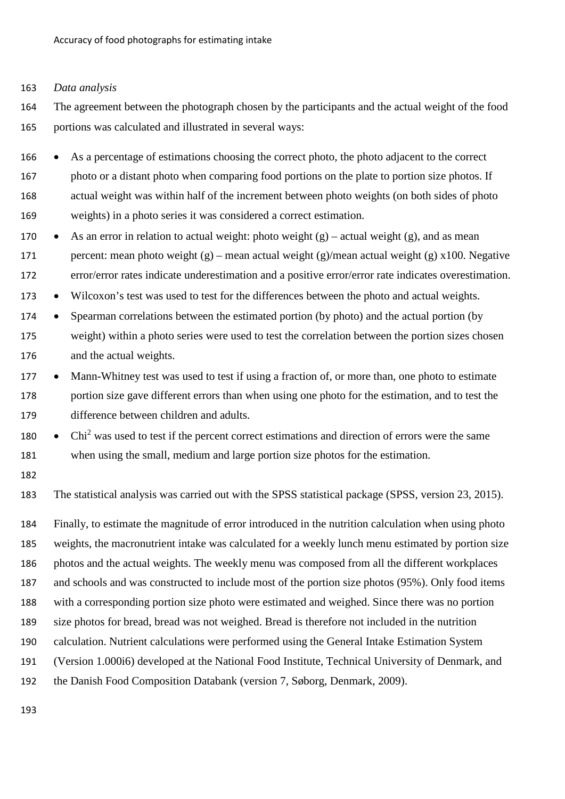#### *Data analysis*

 The agreement between the photograph chosen by the participants and the actual weight of the food portions was calculated and illustrated in several ways:

 • As a percentage of estimations choosing the correct photo, the photo adjacent to the correct photo or a distant photo when comparing food portions on the plate to portion size photos. If actual weight was within half of the increment between photo weights (on both sides of photo weights) in a photo series it was considered a correct estimation.

- 170 As an error in relation to actual weight: photo weight  $(g)$  actual weight  $(g)$ , and as mean 171 percent: mean photo weight (g) – mean actual weight (g)/mean actual weight (g) x100. Negative error/error rates indicate underestimation and a positive error/error rate indicates overestimation.
- Wilcoxon's test was used to test for the differences between the photo and actual weights.
- Spearman correlations between the estimated portion (by photo) and the actual portion (by weight) within a photo series were used to test the correlation between the portion sizes chosen and the actual weights.
- 177 Mann-Whitney test was used to test if using a fraction of, or more than, one photo to estimate portion size gave different errors than when using one photo for the estimation, and to test the difference between children and adults.
- Chi<sup>2</sup> was used to test if the percent correct estimations and direction of errors were the same when using the small, medium and large portion size photos for the estimation.
- 

The statistical analysis was carried out with the SPSS statistical package (SPSS, version 23, 2015).

 Finally, to estimate the magnitude of error introduced in the nutrition calculation when using photo weights, the macronutrient intake was calculated for a weekly lunch menu estimated by portion size photos and the actual weights. The weekly menu was composed from all the different workplaces and schools and was constructed to include most of the portion size photos (95%). Only food items with a corresponding portion size photo were estimated and weighed. Since there was no portion size photos for bread, bread was not weighed. Bread is therefore not included in the nutrition calculation. Nutrient calculations were performed using the General Intake Estimation System (Version 1.000i6) developed at the National Food Institute, Technical University of Denmark, and the Danish Food Composition Databank (version 7, Søborg, Denmark, 2009).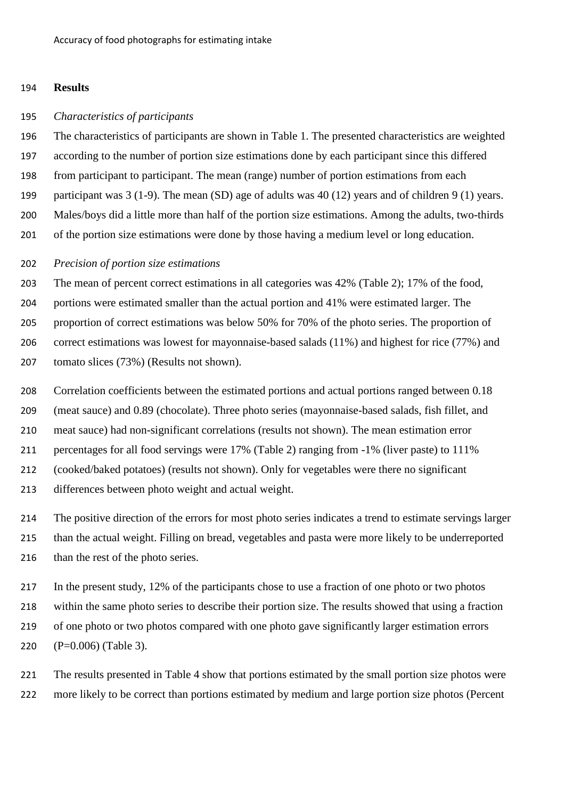# **Results**

#### *Characteristics of participants*

 The characteristics of participants are shown in Table 1. The presented characteristics are weighted according to the number of portion size estimations done by each participant since this differed from participant to participant. The mean (range) number of portion estimations from each participant was 3 (1-9). The mean (SD) age of adults was 40 (12) years and of children 9 (1) years. Males/boys did a little more than half of the portion size estimations. Among the adults, two-thirds of the portion size estimations were done by those having a medium level or long education.

### *Precision of portion size estimations*

 The mean of percent correct estimations in all categories was 42% (Table 2); 17% of the food, portions were estimated smaller than the actual portion and 41% were estimated larger. The proportion of correct estimations was below 50% for 70% of the photo series. The proportion of correct estimations was lowest for mayonnaise-based salads (11%) and highest for rice (77%) and tomato slices (73%) (Results not shown).

Correlation coefficients between the estimated portions and actual portions ranged between 0.18

(meat sauce) and 0.89 (chocolate). Three photo series (mayonnaise-based salads, fish fillet, and

meat sauce) had non-significant correlations (results not shown). The mean estimation error

percentages for all food servings were 17% (Table 2) ranging from -1% (liver paste) to 111%

(cooked/baked potatoes) (results not shown). Only for vegetables were there no significant

differences between photo weight and actual weight.

 The positive direction of the errors for most photo series indicates a trend to estimate servings larger than the actual weight. Filling on bread, vegetables and pasta were more likely to be underreported 216 than the rest of the photo series.

 In the present study, 12% of the participants chose to use a fraction of one photo or two photos within the same photo series to describe their portion size. The results showed that using a fraction of one photo or two photos compared with one photo gave significantly larger estimation errors (P=0.006) (Table 3).

 The results presented in Table 4 show that portions estimated by the small portion size photos were more likely to be correct than portions estimated by medium and large portion size photos (Percent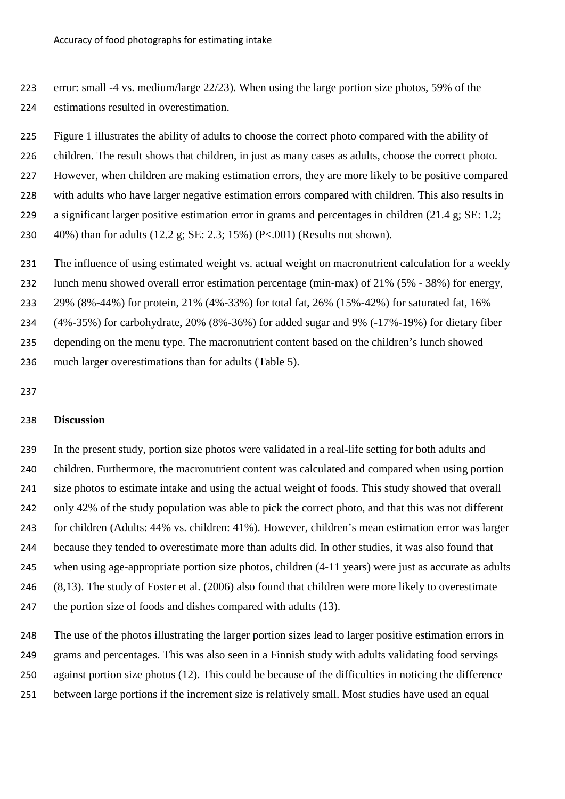error: small -4 vs. medium/large 22/23). When using the large portion size photos, 59% of the estimations resulted in overestimation.

 Figure 1 illustrates the ability of adults to choose the correct photo compared with the ability of children. The result shows that children, in just as many cases as adults, choose the correct photo.

However, when children are making estimation errors, they are more likely to be positive compared

with adults who have larger negative estimation errors compared with children. This also results in

a significant larger positive estimation error in grams and percentages in children (21.4 g; SE: 1.2;

40%) than for adults (12.2 g; SE: 2.3; 15%) (P<.001) (Results not shown).

The influence of using estimated weight vs. actual weight on macronutrient calculation for a weekly

lunch menu showed overall error estimation percentage (min-max) of 21% (5% - 38%) for energy,

29% (8%-44%) for protein, 21% (4%-33%) for total fat, 26% (15%-42%) for saturated fat, 16%

(4%-35%) for carbohydrate, 20% (8%-36%) for added sugar and 9% (-17%-19%) for dietary fiber

depending on the menu type. The macronutrient content based on the children's lunch showed

much larger overestimations than for adults (Table 5).

# **Discussion**

 In the present study, portion size photos were validated in a real-life setting for both adults and children. Furthermore, the macronutrient content was calculated and compared when using portion size photos to estimate intake and using the actual weight of foods. This study showed that overall only 42% of the study population was able to pick the correct photo, and that this was not different for children (Adults: 44% vs. children: 41%). However, children's mean estimation error was larger because they tended to overestimate more than adults did. In other studies, it was also found that when using age-appropriate portion size photos, children (4-11 years) were just as accurate as adults (8,13). The study of Foster et al. (2006) also found that children were more likely to overestimate the portion size of foods and dishes compared with adults (13).

 The use of the photos illustrating the larger portion sizes lead to larger positive estimation errors in grams and percentages. This was also seen in a Finnish study with adults validating food servings against portion size photos (12). This could be because of the difficulties in noticing the difference between large portions if the increment size is relatively small. Most studies have used an equal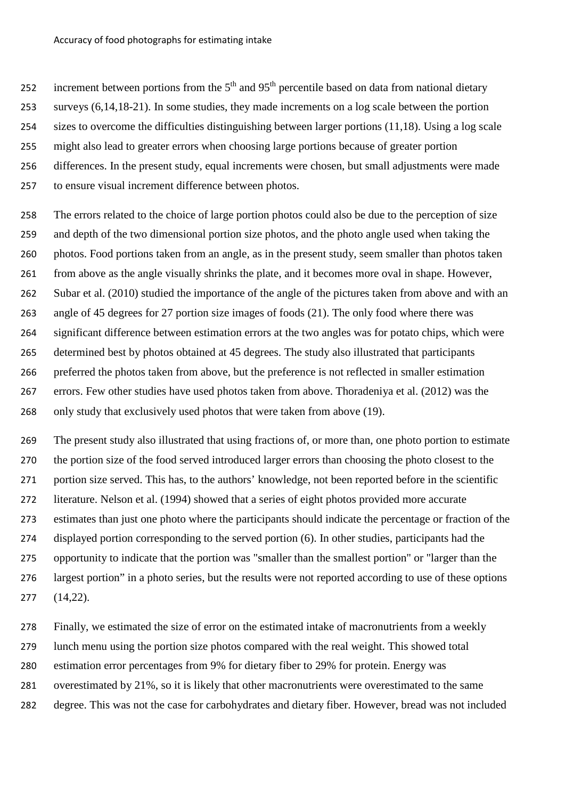252 increment between portions from the  $5<sup>th</sup>$  and  $95<sup>th</sup>$  percentile based on data from national dietary

- surveys (6,14,18-21). In some studies, they made increments on a log scale between the portion
- sizes to overcome the difficulties distinguishing between larger portions (11,18). Using a log scale
- might also lead to greater errors when choosing large portions because of greater portion
- differences. In the present study, equal increments were chosen, but small adjustments were made
- to ensure visual increment difference between photos.
- The errors related to the choice of large portion photos could also be due to the perception of size and depth of the two dimensional portion size photos, and the photo angle used when taking the photos. Food portions taken from an angle, as in the present study, seem smaller than photos taken from above as the angle visually shrinks the plate, and it becomes more oval in shape. However, Subar et al. (2010) studied the importance of the angle of the pictures taken from above and with an angle of 45 degrees for 27 portion size images of foods (21). The only food where there was significant difference between estimation errors at the two angles was for potato chips, which were determined best by photos obtained at 45 degrees. The study also illustrated that participants preferred the photos taken from above, but the preference is not reflected in smaller estimation errors. Few other studies have used photos taken from above. Thoradeniya et al. (2012) was the only study that exclusively used photos that were taken from above (19).
- The present study also illustrated that using fractions of, or more than, one photo portion to estimate the portion size of the food served introduced larger errors than choosing the photo closest to the portion size served. This has, to the authors' knowledge, not been reported before in the scientific literature. Nelson et al. (1994) showed that a series of eight photos provided more accurate estimates than just one photo where the participants should indicate the percentage or fraction of the displayed portion corresponding to the served portion (6). In other studies, participants had the opportunity to indicate that the portion was "smaller than the smallest portion" or "larger than the largest portion" in a photo series, but the results were not reported according to use of these options (14,22).
- Finally, we estimated the size of error on the estimated intake of macronutrients from a weekly
- lunch menu using the portion size photos compared with the real weight. This showed total
- estimation error percentages from 9% for dietary fiber to 29% for protein. Energy was
- overestimated by 21%, so it is likely that other macronutrients were overestimated to the same
- degree. This was not the case for carbohydrates and dietary fiber. However, bread was not included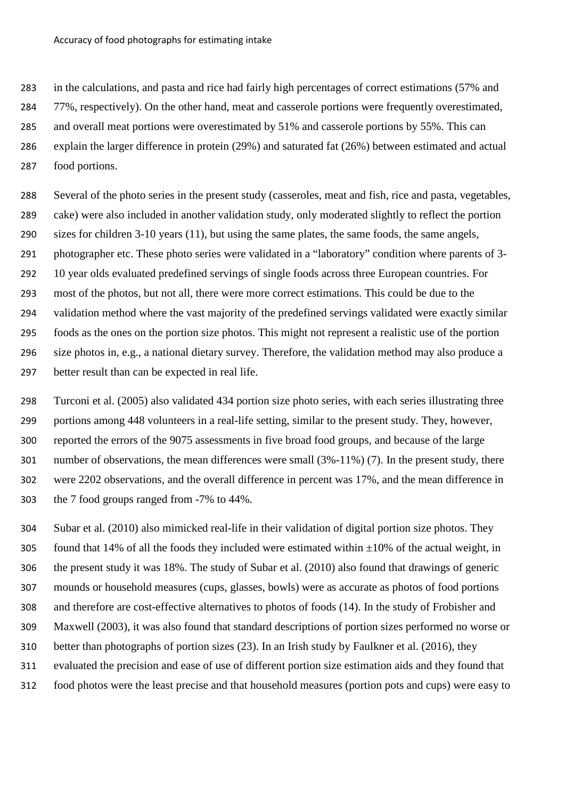in the calculations, and pasta and rice had fairly high percentages of correct estimations (57% and

77%, respectively). On the other hand, meat and casserole portions were frequently overestimated,

and overall meat portions were overestimated by 51% and casserole portions by 55%. This can

 explain the larger difference in protein (29%) and saturated fat (26%) between estimated and actual food portions.

 Several of the photo series in the present study (casseroles, meat and fish, rice and pasta, vegetables, cake) were also included in another validation study, only moderated slightly to reflect the portion sizes for children 3-10 years (11), but using the same plates, the same foods, the same angels, photographer etc. These photo series were validated in a "laboratory" condition where parents of 3- 10 year olds evaluated predefined servings of single foods across three European countries. For most of the photos, but not all, there were more correct estimations. This could be due to the validation method where the vast majority of the predefined servings validated were exactly similar foods as the ones on the portion size photos. This might not represent a realistic use of the portion size photos in, e.g., a national dietary survey. Therefore, the validation method may also produce a better result than can be expected in real life.

 Turconi et al. (2005) also validated 434 portion size photo series, with each series illustrating three portions among 448 volunteers in a real-life setting, similar to the present study. They, however, reported the errors of the 9075 assessments in five broad food groups, and because of the large number of observations, the mean differences were small (3%-11%) (7). In the present study, there were 2202 observations, and the overall difference in percent was 17%, and the mean difference in the 7 food groups ranged from -7% to 44%.

 Subar et al. (2010) also mimicked real-life in their validation of digital portion size photos. They 305 found that 14% of all the foods they included were estimated within  $\pm 10$ % of the actual weight, in the present study it was 18%. The study of Subar et al. (2010) also found that drawings of generic mounds or household measures (cups, glasses, bowls) were as accurate as photos of food portions and therefore are cost-effective alternatives to photos of foods (14). In the study of Frobisher and Maxwell (2003), it was also found that standard descriptions of portion sizes performed no worse or better than photographs of portion sizes (23). In an Irish study by Faulkner et al. (2016), they evaluated the precision and ease of use of different portion size estimation aids and they found that food photos were the least precise and that household measures (portion pots and cups) were easy to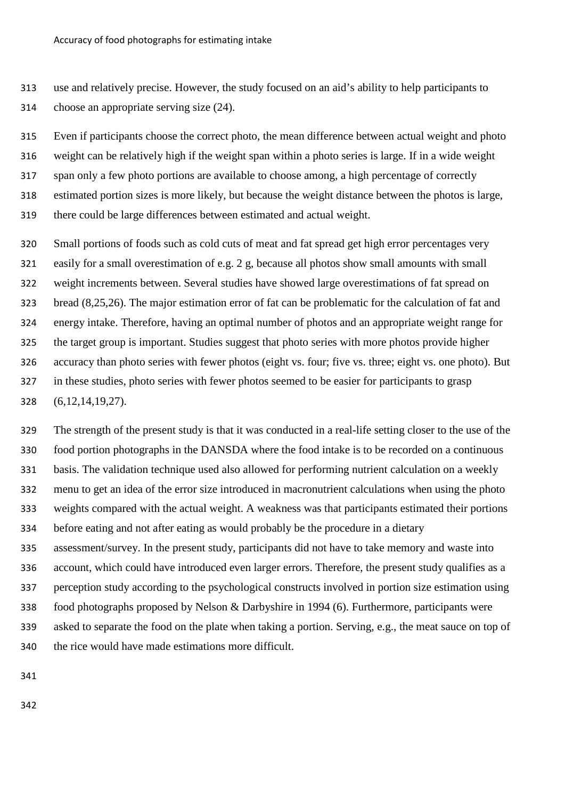use and relatively precise. However, the study focused on an aid's ability to help participants to choose an appropriate serving size (24).

 Even if participants choose the correct photo, the mean difference between actual weight and photo weight can be relatively high if the weight span within a photo series is large. If in a wide weight span only a few photo portions are available to choose among, a high percentage of correctly estimated portion sizes is more likely, but because the weight distance between the photos is large, there could be large differences between estimated and actual weight.

 Small portions of foods such as cold cuts of meat and fat spread get high error percentages very easily for a small overestimation of e.g. 2 g, because all photos show small amounts with small weight increments between. Several studies have showed large overestimations of fat spread on bread (8,25,26). The major estimation error of fat can be problematic for the calculation of fat and energy intake. Therefore, having an optimal number of photos and an appropriate weight range for the target group is important. Studies suggest that photo series with more photos provide higher accuracy than photo series with fewer photos (eight vs. four; five vs. three; eight vs. one photo). But in these studies, photo series with fewer photos seemed to be easier for participants to grasp (6,12,14,19,27).

 The strength of the present study is that it was conducted in a real-life setting closer to the use of the food portion photographs in the DANSDA where the food intake is to be recorded on a continuous basis. The validation technique used also allowed for performing nutrient calculation on a weekly menu to get an idea of the error size introduced in macronutrient calculations when using the photo weights compared with the actual weight. A weakness was that participants estimated their portions before eating and not after eating as would probably be the procedure in a dietary assessment/survey. In the present study, participants did not have to take memory and waste into account, which could have introduced even larger errors. Therefore, the present study qualifies as a perception study according to the psychological constructs involved in portion size estimation using food photographs proposed by Nelson & Darbyshire in 1994 (6). Furthermore, participants were asked to separate the food on the plate when taking a portion. Serving, e.g., the meat sauce on top of the rice would have made estimations more difficult.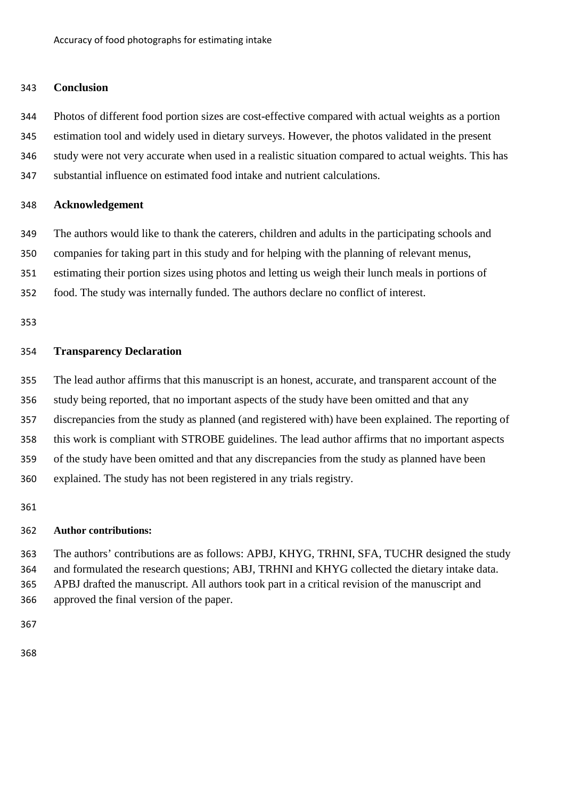# **Conclusion**

 Photos of different food portion sizes are cost-effective compared with actual weights as a portion estimation tool and widely used in dietary surveys. However, the photos validated in the present study were not very accurate when used in a realistic situation compared to actual weights. This has

substantial influence on estimated food intake and nutrient calculations.

# **Acknowledgement**

The authors would like to thank the caterers, children and adults in the participating schools and

companies for taking part in this study and for helping with the planning of relevant menus,

estimating their portion sizes using photos and letting us weigh their lunch meals in portions of

food. The study was internally funded. The authors declare no conflict of interest.

# **Transparency Declaration**

The lead author affirms that this manuscript is an honest, accurate, and transparent account of the

study being reported, that no important aspects of the study have been omitted and that any

discrepancies from the study as planned (and registered with) have been explained. The reporting of

this work is compliant with STROBE guidelines. The lead author affirms that no important aspects

of the study have been omitted and that any discrepancies from the study as planned have been

explained. The study has not been registered in any trials registry.

# **Author contributions:**

 The authors' contributions are as follows: APBJ, KHYG, TRHNI, SFA, TUCHR designed the study and formulated the research questions; ABJ, TRHNI and KHYG collected the dietary intake data. APBJ drafted the manuscript. All authors took part in a critical revision of the manuscript and approved the final version of the paper.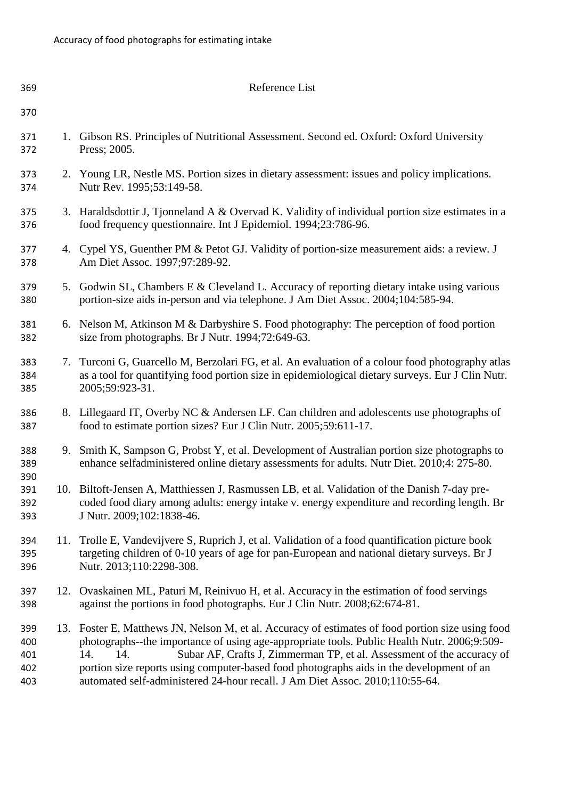| 369                             |     | Reference List                                                                                                                                                                                                                                                                                                                                                                                                                                                       |
|---------------------------------|-----|----------------------------------------------------------------------------------------------------------------------------------------------------------------------------------------------------------------------------------------------------------------------------------------------------------------------------------------------------------------------------------------------------------------------------------------------------------------------|
| 370                             |     |                                                                                                                                                                                                                                                                                                                                                                                                                                                                      |
| 371<br>372                      |     | 1. Gibson RS. Principles of Nutritional Assessment. Second ed. Oxford: Oxford University<br>Press; 2005.                                                                                                                                                                                                                                                                                                                                                             |
| 373<br>374                      |     | 2. Young LR, Nestle MS. Portion sizes in dietary assessment: issues and policy implications.<br>Nutr Rev. 1995;53:149-58.                                                                                                                                                                                                                                                                                                                                            |
| 375<br>376                      |     | 3. Haraldsdottir J, Tjonneland A & Overvad K. Validity of individual portion size estimates in a<br>food frequency questionnaire. Int J Epidemiol. 1994;23:786-96.                                                                                                                                                                                                                                                                                                   |
| 377<br>378                      |     | 4. Cypel YS, Guenther PM & Petot GJ. Validity of portion-size measurement aids: a review. J<br>Am Diet Assoc. 1997;97:289-92.                                                                                                                                                                                                                                                                                                                                        |
| 379<br>380                      |     | 5. Godwin SL, Chambers E & Cleveland L. Accuracy of reporting dietary intake using various<br>portion-size aids in-person and via telephone. J Am Diet Assoc. 2004;104:585-94.                                                                                                                                                                                                                                                                                       |
| 381<br>382                      |     | 6. Nelson M, Atkinson M & Darbyshire S. Food photography: The perception of food portion<br>size from photographs. Br J Nutr. 1994;72:649-63.                                                                                                                                                                                                                                                                                                                        |
| 383<br>384<br>385               | 7.  | Turconi G, Guarcello M, Berzolari FG, et al. An evaluation of a colour food photography atlas<br>as a tool for quantifying food portion size in epidemiological dietary surveys. Eur J Clin Nutr.<br>2005;59:923-31.                                                                                                                                                                                                                                                 |
| 386<br>387                      |     | 8. Lillegaard IT, Overby NC & Andersen LF. Can children and adolescents use photographs of<br>food to estimate portion sizes? Eur J Clin Nutr. 2005;59:611-17.                                                                                                                                                                                                                                                                                                       |
| 388<br>389                      |     | 9. Smith K, Sampson G, Probst Y, et al. Development of Australian portion size photographs to<br>enhance selfadministered online dietary assessments for adults. Nutr Diet. 2010;4: 275-80.                                                                                                                                                                                                                                                                          |
| 390<br>391<br>392<br>393        |     | 10. Biltoft-Jensen A, Matthiessen J, Rasmussen LB, et al. Validation of the Danish 7-day pre-<br>coded food diary among adults: energy intake v. energy expenditure and recording length. Br<br>J Nutr. 2009;102:1838-46.                                                                                                                                                                                                                                            |
| 394<br>395<br>396               | 11. | Trolle E, Vandevijvere S, Ruprich J, et al. Validation of a food quantification picture book<br>targeting children of 0-10 years of age for pan-European and national dietary surveys. Br J<br>Nutr. 2013;110:2298-308.                                                                                                                                                                                                                                              |
| 397<br>398                      |     | 12. Ovaskainen ML, Paturi M, Reinivuo H, et al. Accuracy in the estimation of food servings<br>against the portions in food photographs. Eur J Clin Nutr. 2008;62:674-81.                                                                                                                                                                                                                                                                                            |
| 399<br>400<br>401<br>402<br>403 |     | 13. Foster E, Matthews JN, Nelson M, et al. Accuracy of estimates of food portion size using food<br>photographs--the importance of using age-appropriate tools. Public Health Nutr. 2006;9:509-<br>Subar AF, Crafts J, Zimmerman TP, et al. Assessment of the accuracy of<br>14.<br>14.<br>portion size reports using computer-based food photographs aids in the development of an<br>automated self-administered 24-hour recall. J Am Diet Assoc. 2010;110:55-64. |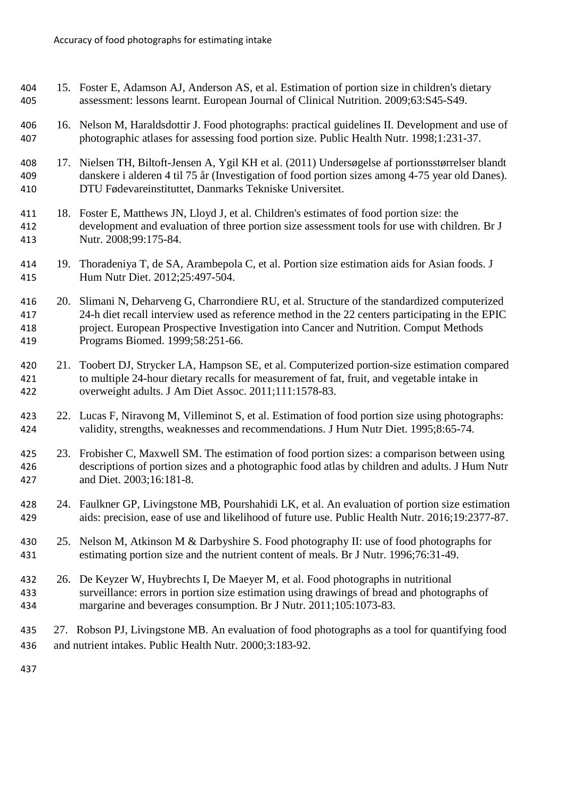- 15. Foster E, Adamson AJ, Anderson AS, et al. Estimation of portion size in children's dietary assessment: lessons learnt. European Journal of Clinical Nutrition. 2009;63:S45-S49.
- 16. Nelson M, Haraldsdottir J. Food photographs: practical guidelines II. Development and use of photographic atlases for assessing food portion size. Public Health Nutr. 1998;1:231-37.
- 17. Nielsen TH, Biltoft-Jensen A, Ygil KH et al. (2011) Undersøgelse af portionsstørrelser blandt danskere i alderen 4 til 75 år (Investigation of food portion sizes among 4-75 year old Danes). DTU Fødevareinstituttet, Danmarks Tekniske Universitet.
- 411 18. Foster E, Matthews JN, Lloyd J, et al. Children's estimates of food portion size: the development and evaluation of three portion size assessment tools for use with children. Br J Nutr. 2008;99:175-84.
- 19. Thoradeniya T, de SA, Arambepola C, et al. Portion size estimation aids for Asian foods. J Hum Nutr Diet. 2012;25:497-504.
- 20. Slimani N, Deharveng G, Charrondiere RU, et al. Structure of the standardized computerized 24-h diet recall interview used as reference method in the 22 centers participating in the EPIC project. European Prospective Investigation into Cancer and Nutrition. Comput Methods Programs Biomed. 1999;58:251-66.
- 21. Toobert DJ, Strycker LA, Hampson SE, et al. Computerized portion-size estimation compared to multiple 24-hour dietary recalls for measurement of fat, fruit, and vegetable intake in overweight adults. J Am Diet Assoc. 2011;111:1578-83.
- 22. Lucas F, Niravong M, Villeminot S, et al. Estimation of food portion size using photographs: validity, strengths, weaknesses and recommendations. J Hum Nutr Diet. 1995;8:65-74.
- 23. Frobisher C, Maxwell SM. The estimation of food portion sizes: a comparison between using descriptions of portion sizes and a photographic food atlas by children and adults. J Hum Nutr and Diet. 2003;16:181-8.
- 24. Faulkner GP, Livingstone MB, Pourshahidi LK, et al. An evaluation of portion size estimation aids: precision, ease of use and likelihood of future use. Public Health Nutr. 2016;19:2377-87.
- 430 25. Nelson M, Atkinson M & Darbyshire S. Food photography II: use of food photographs for estimating portion size and the nutrient content of meals. Br J Nutr. 1996;76:31-49.
- 26. De Keyzer W, Huybrechts I, De Maeyer M, et al. Food photographs in nutritional surveillance: errors in portion size estimation using drawings of bread and photographs of margarine and beverages consumption. Br J Nutr. 2011;105:1073-83.
- 27. Robson PJ, Livingstone MB. An evaluation of food photographs as a tool for quantifying food and nutrient intakes. Public Health Nutr. 2000;3:183-92.
-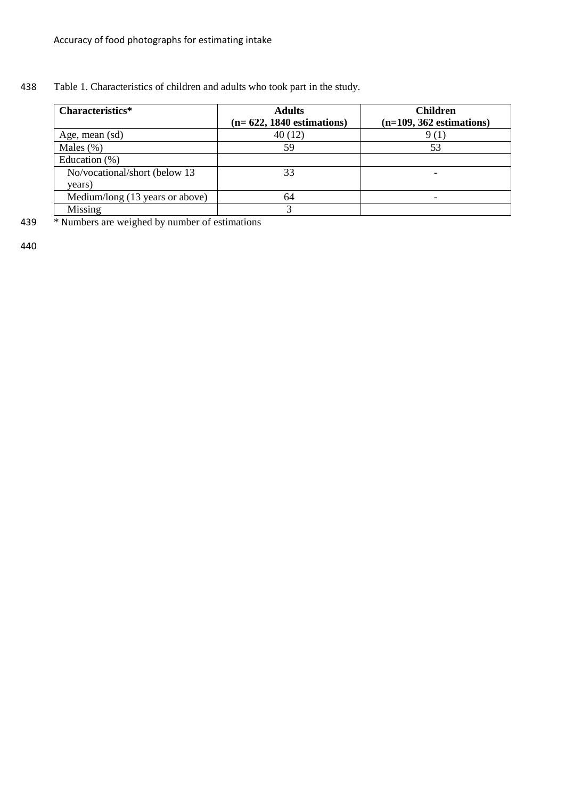# 438 Table 1. Characteristics of children and adults who took part in the study.

| Characteristics*                | <b>Adults</b><br>$(n=622, 1840$ estimations) | <b>Children</b><br>$(n=109, 362$ estimations) |
|---------------------------------|----------------------------------------------|-----------------------------------------------|
| Age, mean (sd)                  | 40(12)                                       |                                               |
| Males $(\%)$                    | 59                                           | 53                                            |
| Education $(\% )$               |                                              |                                               |
| No/vocational/short (below 13   | 33                                           |                                               |
| years)                          |                                              |                                               |
| Medium/long (13 years or above) | 64                                           |                                               |
| Missing                         |                                              |                                               |

439 \* Numbers are weighed by number of estimations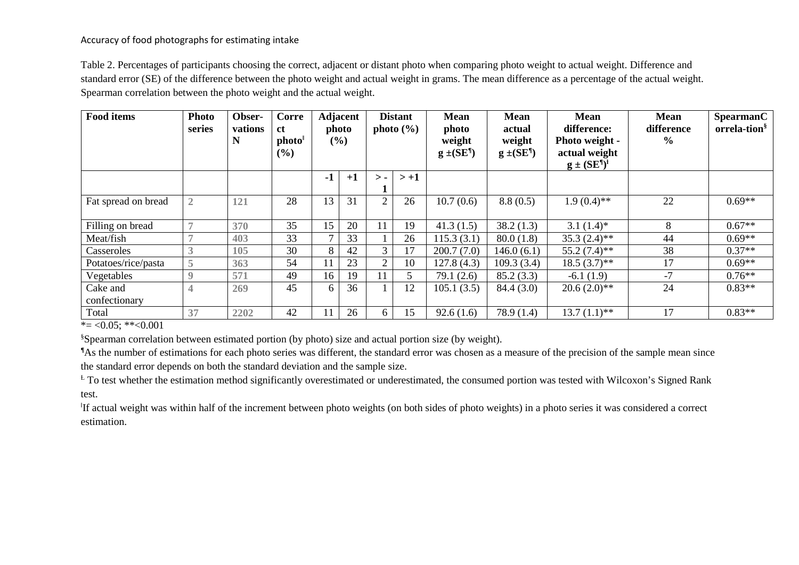# Accuracy of food photographs for estimating intake

Table 2. Percentages of participants choosing the correct, adjacent or distant photo when comparing photo weight to actual weight. Difference and standard error (SE) of the difference between the photo weight and actual weight in grams. The mean difference as a percentage of the actual weight. Spearman correlation between the photo weight and the actual weight.

| <b>Food items</b>         | <b>Photo</b><br>series   | Obser-<br>vations<br>N | Corre<br><b>ct</b><br>photo<br>$(\%)$ |               | <b>Adjacent</b><br>photo<br>$(\%)$ |                | <b>Distant</b><br>photo $(\% )$ | <b>Mean</b><br>photo<br>weight<br>$g \pm (SE^{\eta})$ | <b>Mean</b><br>actual<br>weight<br>$g \pm (SE^{\eta})$ | <b>Mean</b><br>difference:<br>Photo weight -<br>actual weight<br>$g \pm (SE^{\parallel})^{\perp}$ | <b>Mean</b><br>difference<br>$\frac{6}{6}$ | <b>SpearmanC</b><br>orrela-tion <sup>§</sup> |
|---------------------------|--------------------------|------------------------|---------------------------------------|---------------|------------------------------------|----------------|---------------------------------|-------------------------------------------------------|--------------------------------------------------------|---------------------------------------------------------------------------------------------------|--------------------------------------------|----------------------------------------------|
|                           |                          |                        |                                       | $-1$          | $+1$                               | $\mathbf{>}$ - | $> +1$                          |                                                       |                                                        |                                                                                                   |                                            |                                              |
| Fat spread on bread       | $\overline{2}$           | 121                    | 28                                    | 13            | 31                                 | 2              | 26                              | 10.7(0.6)                                             | 8.8(0.5)                                               | $1.9(0.4)$ **                                                                                     | 22                                         | $0.69**$                                     |
| Filling on bread          |                          | 370                    | 35                                    | 15            | 20                                 | 11             | 19                              | 41.3(1.5)                                             | 38.2(1.3)                                              | $3.1(1.4)$ *                                                                                      | 8                                          | $0.67**$                                     |
| Meat/fish                 | $\overline{\phantom{a}}$ | 403                    | 33                                    | $\mathcal{I}$ | 33                                 |                | 26                              | 115.3(3.1)                                            | 80.0(1.8)                                              | $35.3(2.4)$ **                                                                                    | 44                                         | $0.69**$                                     |
| Casseroles                | 3                        | 105                    | 30                                    | 8             | 42                                 | 3 <sup>1</sup> | 17                              | 200.7(7.0)                                            | 146.0(6.1)                                             | $55.2(7.4)$ **                                                                                    | 38                                         | $0.37**$                                     |
| Potatoes/rice/pasta       | 5                        | 363                    | 54                                    |               | 23                                 | $\mathcal{D}$  | 10                              | 127.8(4.3)                                            | 109.3(3.4)                                             | $18.5(3.7)$ **                                                                                    | 17                                         | $0.69**$                                     |
| Vegetables                | $\mathbf Q$              | 571                    | 49                                    | 16            | 19                                 | -1-1           |                                 | 79.1(2.6)                                             | 85.2(3.3)                                              | $-6.1(1.9)$                                                                                       | $-7$                                       | $0.76**$                                     |
| Cake and<br>confectionary | 4                        | 269                    | 45                                    | 6             | 36                                 |                | 12                              | 105.1(3.5)                                            | 84.4 (3.0)                                             | $20.6(2.0)**$                                                                                     | 24                                         | $0.83**$                                     |
| Total                     | 37                       | 2202                   | 42                                    | $\mathbf{1}$  | 26                                 | 6              | 15                              | 92.6(1.6)                                             | 78.9(1.4)                                              | $13.7(1.1)$ **                                                                                    | 17                                         | $0.83**$                                     |

 $* = 0.05; ** 0.001$ 

§ Spearman correlation between estimated portion (by photo) size and actual portion size (by weight).

**¶** As the number of estimations for each photo series was different, the standard error was chosen as a measure of the precision of the sample mean since the standard error depends on both the standard deviation and the sample size.

<sup>t</sup> To test whether the estimation method significantly overestimated or underestimated, the consumed portion was tested with Wilcoxon's Signed Rank test.

ǁ If actual weight was within half of the increment between photo weights (on both sides of photo weights) in a photo series it was considered a correct estimation.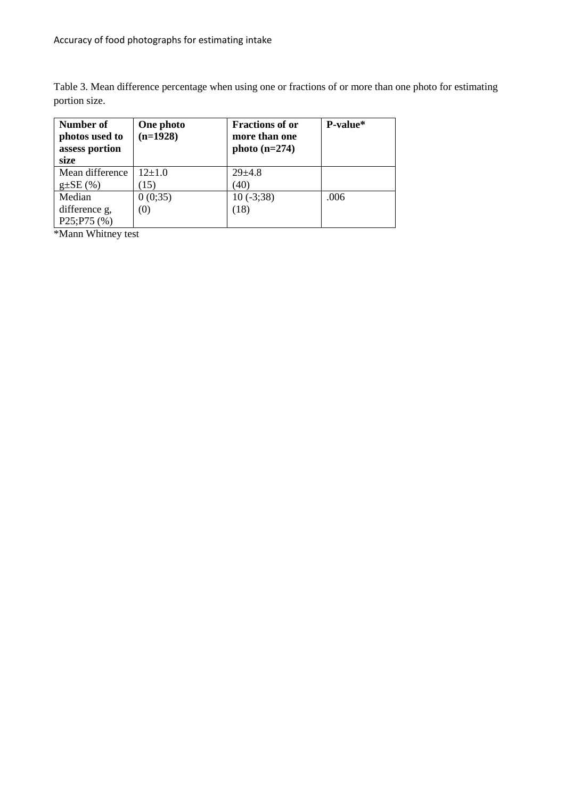Table 3. Mean difference percentage when using one or fractions of or more than one photo for estimating portion size.

| Number of<br>photos used to<br>assess portion<br>size | One photo<br>$(n=1928)$ | <b>Fractions of or</b><br>more than one<br>photo $(n=274)$ | P-value* |
|-------------------------------------------------------|-------------------------|------------------------------------------------------------|----------|
| Mean difference                                       | $12\pm1.0$              | $29 + 4.8$                                                 |          |
| $g \pm SE(%)$                                         | (15)                    | 40)                                                        |          |
| Median                                                | 0(0;35)                 | $10(-3;38)$                                                | .006     |
| difference g,                                         | (0)                     | (18)                                                       |          |
| P25; P75(%)                                           |                         |                                                            |          |

\*Mann Whitney test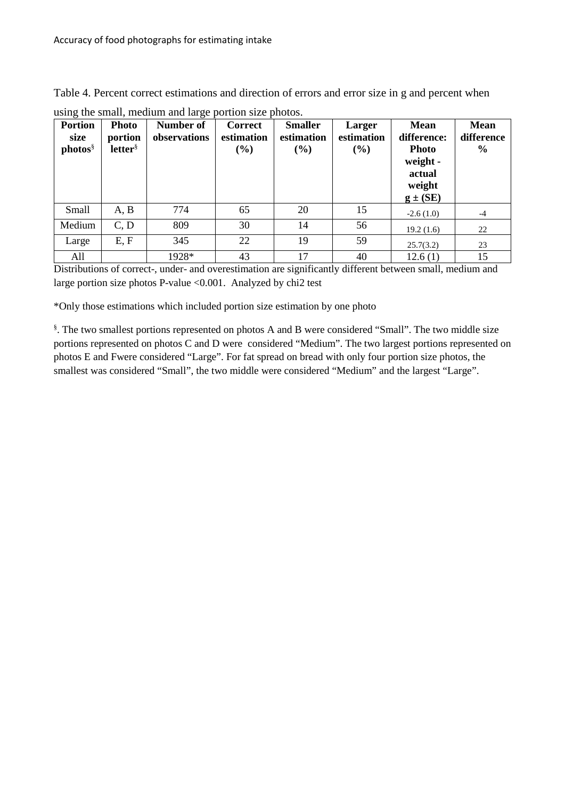Table 4. Percent correct estimations and direction of errors and error size in g and percent when

|                        |                         | $\circ$                   |                              |                              |                      |                            |                           |
|------------------------|-------------------------|---------------------------|------------------------------|------------------------------|----------------------|----------------------------|---------------------------|
| <b>Portion</b><br>size | <b>Photo</b><br>portion | Number of<br>observations | <b>Correct</b><br>estimation | <b>Smaller</b><br>estimation | Larger<br>estimation | <b>Mean</b><br>difference: | <b>Mean</b><br>difference |
| photos                 | letter <sup>§</sup>     |                           | $(\%)$                       | (%)                          | (%)                  | <b>Photo</b><br>weight -   | $\frac{6}{9}$             |
|                        |                         |                           |                              |                              |                      | actual                     |                           |
|                        |                         |                           |                              |                              |                      | weight                     |                           |
|                        |                         |                           |                              |                              |                      | $g \pm (SE)$               |                           |
| Small                  | A, B                    | 774                       | 65                           | 20                           | 15                   | $-2.6(1.0)$                | $-4$                      |
| Medium                 | C, D                    | 809                       | 30                           | 14                           | 56                   | 19.2(1.6)                  | 22                        |
| Large                  | E, F                    | 345                       | 22                           | 19                           | 59                   | 25.7(3.2)                  | 23                        |
| All                    |                         | 1928*                     | 43                           | 17                           | 40                   | 12.6(1)                    | 15                        |

using the small, medium and large portion size photos.

Distributions of correct-, under- and overestimation are significantly different between small, medium and large portion size photos P-value <0.001. Analyzed by chi2 test

\*Only those estimations which included portion size estimation by one photo

§ . The two smallest portions represented on photos A and B were considered "Small". The two middle size portions represented on photos C and D were considered "Medium". The two largest portions represented on photos E and Fwere considered "Large". For fat spread on bread with only four portion size photos, the smallest was considered "Small", the two middle were considered "Medium" and the largest "Large".